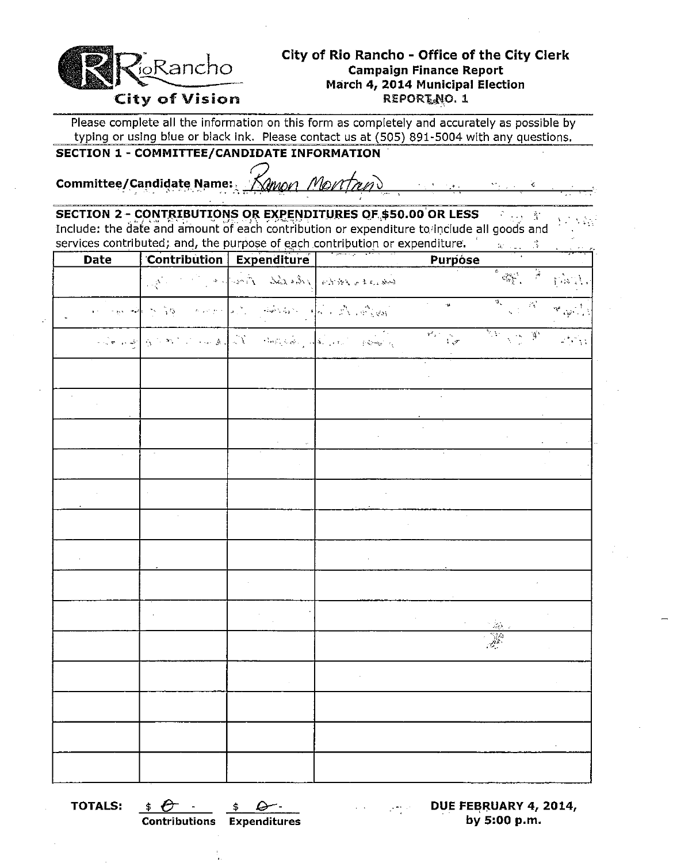

# **City of Rio Rancho - Office of the City Clerk**  O~~ncho. **Campaign Finance Report March 4, 2014 Municipal Election**

Please complete all the information on this form as completely and accurately as possible by typing or using blue or black ink. Please contact us at (505) 891-5004 with any questions.

**SECTION 1 - COMMITTEE/CANDIDATE INFORMATION** 

Committee/Candidate Name:. *"Nmon Monthun*"

**SECTION 2 - CONTRIBUTIONS OR EXPENDITURES OF \$50.00 OR LESS <b>Fig. 4** Include: the date and amount of each contribution or expenditure to include all goods and services contributed; and, the purpose of each contribution or expenditure.  $\mathbf{g}_{\mathrm{C} \rightarrow \mathrm{C} \mathrm{C}} = \mathbf{\hat{3}}$ 

| Date |                                          | Contribution Expenditure                                                                                                                                                                                                                                                                                                                                                                                                                                                                                                                                 | <b>Purpose</b>                                                    |                                                                                                                                                                                   |                                                          |
|------|------------------------------------------|----------------------------------------------------------------------------------------------------------------------------------------------------------------------------------------------------------------------------------------------------------------------------------------------------------------------------------------------------------------------------------------------------------------------------------------------------------------------------------------------------------------------------------------------------------|-------------------------------------------------------------------|-----------------------------------------------------------------------------------------------------------------------------------------------------------------------------------|----------------------------------------------------------|
|      | $\mathbb{E}_{\mathbf{X}}^{\mathbf{X}}$ . | bancers of the Books of the Same                                                                                                                                                                                                                                                                                                                                                                                                                                                                                                                         |                                                                   |                                                                                                                                                                                   | $\mathcal{V}(\mathcal{S},t)$                             |
|      |                                          | $\omega_{\rm{max}} = \omega \omega \left[ \left( \begin{array}{ccc} \omega_1 & \omega_2 & \omega_3 \\ \omega_1 & \omega_2 & \omega_3 \end{array} \right) \right] \omega \left[ \begin{array}{ccc} \omega_1 & \omega_2 & \omega_3 \\ \omega_1 & \omega_2 & \omega_3 \end{array} \right] \omega \left[ \begin{array}{ccc} \omega_1 & \omega_2 & \omega_3 \\ \omega_1 & \omega_2 & \omega_3 \end{array} \right] \omega \left[ \begin{array}{ccc} \omega_1 & \omega_1 & \omega_2 \\ \omega_1 & \omega_2 & \omega_3 \end{array} \right] \omega \left[ \begin$ | $\overline{\mathcal{L}_{\mathcal{C}}^{\mathcal{C}}(\mathcal{A})}$ | $\frac{a^2}{\left a^2\right ^{1/2} \left a^2\right ^{1/2}}$                                                                                                                       | $\mathcal{P}_{\mathcal{A} \neq \mathcal{A} \mathcal{A}}$ |
|      |                                          | الم المحكم المستقل في المحكم المحكم المحكم المحكم المحكم المحكم المحكم المحكم المحكم المحكم المحكم ا                                                                                                                                                                                                                                                                                                                                                                                                                                                     | $\overline{r_{\alpha} \cdot \frac{1}{\sqrt{\alpha^2}}}$           | $\frac{\partial^2 \mathcal{F}^{\mathcal{A}}}{\partial \mathcal{F}^{\mathcal{A}}_{\mathcal{A}}(\mathcal{A}^{\mathcal{A}}_{\mathcal{A}}(\mathcal{A}^{\mathcal{A}}_{\mathcal{A}}))}$ | $\mathcal{L}^{\text{max}}_{\text{max}}$                  |
|      |                                          |                                                                                                                                                                                                                                                                                                                                                                                                                                                                                                                                                          |                                                                   |                                                                                                                                                                                   |                                                          |
|      |                                          |                                                                                                                                                                                                                                                                                                                                                                                                                                                                                                                                                          |                                                                   |                                                                                                                                                                                   |                                                          |
|      |                                          |                                                                                                                                                                                                                                                                                                                                                                                                                                                                                                                                                          |                                                                   |                                                                                                                                                                                   |                                                          |
|      |                                          |                                                                                                                                                                                                                                                                                                                                                                                                                                                                                                                                                          |                                                                   |                                                                                                                                                                                   |                                                          |
|      |                                          |                                                                                                                                                                                                                                                                                                                                                                                                                                                                                                                                                          |                                                                   |                                                                                                                                                                                   |                                                          |
|      |                                          |                                                                                                                                                                                                                                                                                                                                                                                                                                                                                                                                                          | ÷.                                                                |                                                                                                                                                                                   |                                                          |
|      |                                          |                                                                                                                                                                                                                                                                                                                                                                                                                                                                                                                                                          |                                                                   |                                                                                                                                                                                   |                                                          |
|      |                                          |                                                                                                                                                                                                                                                                                                                                                                                                                                                                                                                                                          |                                                                   |                                                                                                                                                                                   |                                                          |
|      |                                          |                                                                                                                                                                                                                                                                                                                                                                                                                                                                                                                                                          |                                                                   |                                                                                                                                                                                   |                                                          |
|      |                                          |                                                                                                                                                                                                                                                                                                                                                                                                                                                                                                                                                          |                                                                   | in 189.<br>Sidan                                                                                                                                                                  |                                                          |
|      |                                          |                                                                                                                                                                                                                                                                                                                                                                                                                                                                                                                                                          |                                                                   |                                                                                                                                                                                   |                                                          |
|      |                                          |                                                                                                                                                                                                                                                                                                                                                                                                                                                                                                                                                          |                                                                   |                                                                                                                                                                                   |                                                          |
|      |                                          |                                                                                                                                                                                                                                                                                                                                                                                                                                                                                                                                                          |                                                                   |                                                                                                                                                                                   |                                                          |
|      |                                          |                                                                                                                                                                                                                                                                                                                                                                                                                                                                                                                                                          |                                                                   |                                                                                                                                                                                   |                                                          |

**TOTALS:**  $\oint \mathbf{C} \cdot \mathbf{S} = \oint \mathbf{C} \cdot \mathbf{S}$  **DUE FEBRUARY 4, 2014, Contributions Expenditures** . **by 5:00** p.m.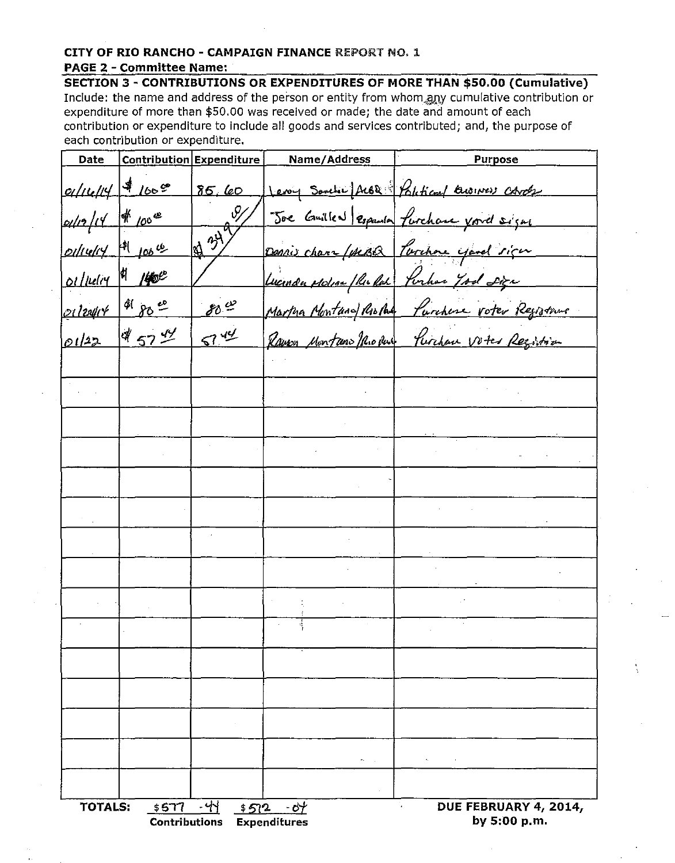## CITY OF RIO RANCHO - CAMPAIGN FINANCE REPORT NO. 1 **PAGE 2 - Committee Name:**

SECTION 3 - CONTRIBUTIONS OR EXPENDITURES OF MORE THAN \$50.00 (Cumulative) Include: the name and address of the person or entity from whom any cumulative contribution or expenditure of more than \$50.00 was received or made; the date and amount of each contribution or expenditure to include all goods and services contributed; and, the purpose of each contribution or expenditure.

| Date                |                                                                                                                                                     | Contribution Expenditure | Name/Address                                | <b>Purpose</b>                                   |
|---------------------|-----------------------------------------------------------------------------------------------------------------------------------------------------|--------------------------|---------------------------------------------|--------------------------------------------------|
| $0/116/14$ 1600     |                                                                                                                                                     | 85, 60                   |                                             | <u>Levy South ALOR Political Austress Carely</u> |
| $d/12/14$ # 100 $x$ |                                                                                                                                                     | $\mathscr{Y}$            |                                             | Joe Guillen espania furchase void signe          |
| $ol·v4'$ 100 th     |                                                                                                                                                     | $\frac{1}{2}$            |                                             | Darnis chara (steBQ   Parchore yard sign         |
| oillelig \$ 1400    |                                                                                                                                                     |                          | Lucinda Moline / Richard Portion 7 sol sign |                                                  |
| 21/2011-1 8000      |                                                                                                                                                     | 80.42                    |                                             | Martina Montana Ristal Purchase voter Registavre |
| 01/22               | $457 - 44$                                                                                                                                          | 5744                     |                                             | Raven Montano Mio Rue Purchase Votes Regartion   |
|                     |                                                                                                                                                     |                          |                                             |                                                  |
|                     |                                                                                                                                                     |                          |                                             |                                                  |
|                     |                                                                                                                                                     |                          |                                             |                                                  |
|                     |                                                                                                                                                     |                          |                                             |                                                  |
|                     |                                                                                                                                                     |                          |                                             |                                                  |
|                     |                                                                                                                                                     |                          |                                             |                                                  |
|                     |                                                                                                                                                     |                          |                                             |                                                  |
|                     |                                                                                                                                                     |                          |                                             |                                                  |
|                     |                                                                                                                                                     |                          |                                             |                                                  |
|                     |                                                                                                                                                     |                          |                                             |                                                  |
|                     |                                                                                                                                                     |                          |                                             |                                                  |
|                     |                                                                                                                                                     |                          |                                             |                                                  |
|                     |                                                                                                                                                     |                          |                                             |                                                  |
|                     |                                                                                                                                                     |                          | man in                                      | <b>All Contract Contract</b>                     |
|                     |                                                                                                                                                     |                          | $\cdot$                                     |                                                  |
|                     | - 44<br><b>TOTALS:</b><br>\$577<br>V.<br>DUE FEBRUARY 4, 2014,<br>\$512<br>$-$ 0 $+$<br>by 5:00 p.m.<br><b>Contributions</b><br><b>Expenditures</b> |                          |                                             |                                                  |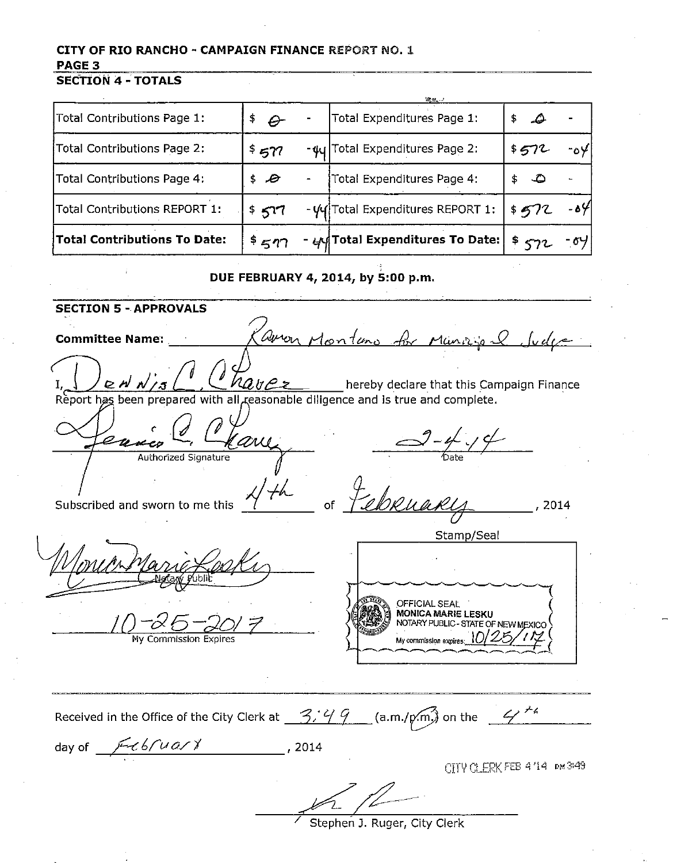# CITY OF RIO RANCHO - CAMPAIGN FINANCE REPORT NO. 1 PAGE<sub>3</sub>

**SECTION 4 - TOTALS** 

| Total Contributions Page 1:   | $\rightarrow$ $\Theta$ | Total Expenditures Page 1:                 | \$.<br>D |       |
|-------------------------------|------------------------|--------------------------------------------|----------|-------|
| Total Contributions Page 2:   | \$577                  | - $\frac{4}{9}$ Total Expenditures Page 2: | 5572     | $-04$ |
| Total Contributions Page 4:   | \$6                    | Total Expenditures Page 4:                 | \$       |       |
| Total Contributions REPORT 1: | \$577                  | - Vy Total Expenditures REPORT 1:          | \$572    | ا⊬ه-  |
| Total Contributions To Date:  | $*$ 577                | - $\mu$ d Total Expenditures To Date:      | ີ ≒< ? 2 |       |

#### DUE FEBRUARY 4, 2014, by 5:00 p.m.

**SECTION 5 - APPROVALS** aven Monteno for Municipal **Committee Name:** hereby declare that this Campaign Finance  $2Nn$ Report has been prepared with all reasonable diligence and is true and complete. aw Authorized Signature 4th of Februar  $, 2014$ Subscribed and sworn to me this Stamp/Seal OFFICIAL SEAL **MONICA MARIE LESKU** NOTARY PUBLIC - STATE OF NEW MEXICO My commission expires: 10/25/ My Commission Expires Received in the Office of the City Clerk at  $\frac{3,49}{ }$  (a.m./p.m.) on the  $\frac{47.5}{ }$ day of  $\sqrt{\frac{2}{\pi} \epsilon b \sqrt{u} a x x}$ , 2014 CITY CLERK FEB 4/14 PM3/49

Stephen J. Ruger, City Clerk